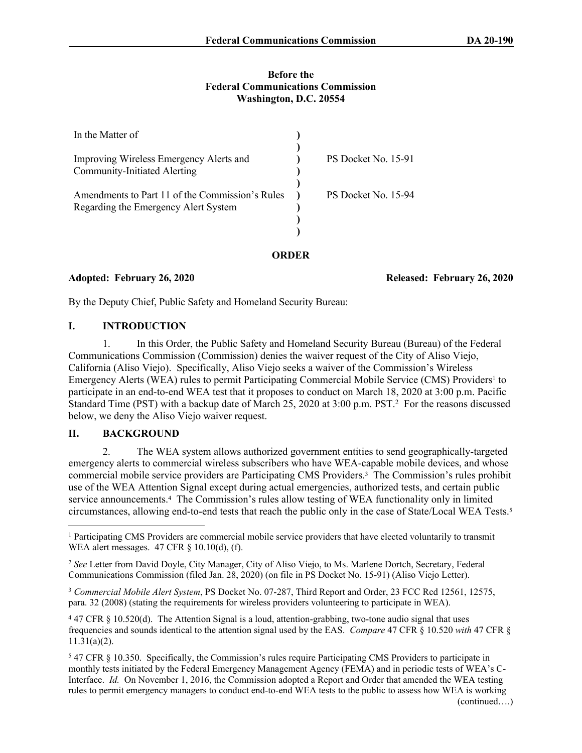## **Before the Federal Communications Commission Washington, D.C. 20554**

| In the Matter of                                                                        |                     |
|-----------------------------------------------------------------------------------------|---------------------|
|                                                                                         | PS Docket No. 15-91 |
| Improving Wireless Emergency Alerts and<br><b>Community-Initiated Alerting</b>          |                     |
|                                                                                         |                     |
| Amendments to Part 11 of the Commission's Rules<br>Regarding the Emergency Alert System | PS Docket No. 15-94 |
|                                                                                         |                     |
|                                                                                         |                     |

**ORDER**

**Adopted: February 26, 2020 Released: February 26, 2020**

By the Deputy Chief, Public Safety and Homeland Security Bureau:

# **I. INTRODUCTION**

1. In this Order, the Public Safety and Homeland Security Bureau (Bureau) of the Federal Communications Commission (Commission) denies the waiver request of the City of Aliso Viejo, California (Aliso Viejo). Specifically, Aliso Viejo seeks a waiver of the Commission's Wireless Emergency Alerts (WEA) rules to permit Participating Commercial Mobile Service (CMS) Providers<sup>1</sup> to participate in an end-to-end WEA test that it proposes to conduct on March 18, 2020 at 3:00 p.m. Pacific Standard Time (PST) with a backup date of March 25, 2020 at 3:00 p.m. PST.<sup>2</sup> For the reasons discussed below, we deny the Aliso Viejo waiver request.

# **II. BACKGROUND**

2. The WEA system allows authorized government entities to send geographically-targeted emergency alerts to commercial wireless subscribers who have WEA-capable mobile devices, and whose commercial mobile service providers are Participating CMS Providers.<sup>3</sup> The Commission's rules prohibit use of the WEA Attention Signal except during actual emergencies, authorized tests, and certain public service announcements.<sup>4</sup> The Commission's rules allow testing of WEA functionality only in limited circumstances, allowing end-to-end tests that reach the public only in the case of State/Local WEA Tests.<sup>5</sup>

<sup>1</sup> Participating CMS Providers are commercial mobile service providers that have elected voluntarily to transmit WEA alert messages. 47 CFR § 10.10(d), (f).

<sup>2</sup> *See* Letter from David Doyle, City Manager, City of Aliso Viejo, to Ms. Marlene Dortch, Secretary, Federal Communications Commission (filed Jan. 28, 2020) (on file in PS Docket No. 15-91) (Aliso Viejo Letter).

<sup>3</sup> *Commercial Mobile Alert System*, PS Docket No. 07-287, Third Report and Order, 23 FCC Rcd 12561, 12575, para. 32 (2008) (stating the requirements for wireless providers volunteering to participate in WEA).

<sup>4</sup> 47 CFR § 10.520(d). The Attention Signal is a loud, attention-grabbing, two-tone audio signal that uses frequencies and sounds identical to the attention signal used by the EAS. *Compare* 47 CFR § 10.520 *with* 47 CFR § 11.31(a)(2).

<sup>5</sup> 47 CFR § 10.350. Specifically, the Commission's rules require Participating CMS Providers to participate in monthly tests initiated by the Federal Emergency Management Agency (FEMA) and in periodic tests of WEA's C-Interface. *Id.* On November 1, 2016, the Commission adopted a Report and Order that amended the WEA testing rules to permit emergency managers to conduct end-to-end WEA tests to the public to assess how WEA is working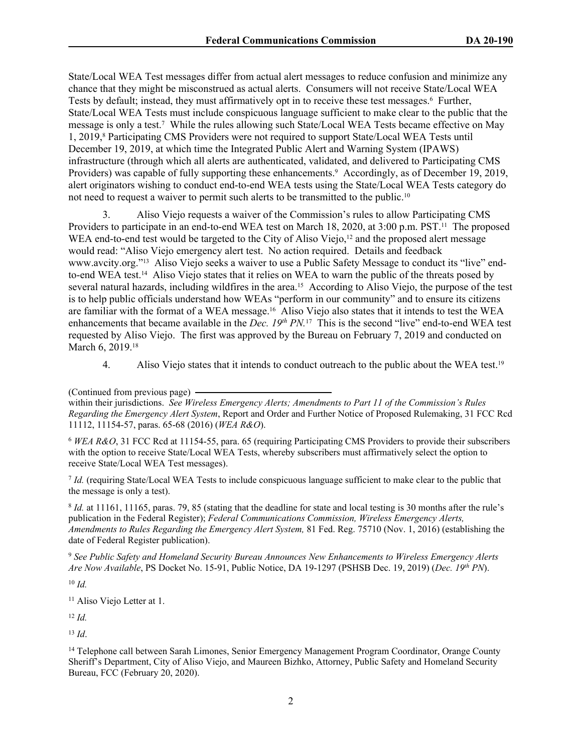State/Local WEA Test messages differ from actual alert messages to reduce confusion and minimize any chance that they might be misconstrued as actual alerts. Consumers will not receive State/Local WEA Tests by default; instead, they must affirmatively opt in to receive these test messages.<sup>6</sup> Further, State/Local WEA Tests must include conspicuous language sufficient to make clear to the public that the message is only a test.<sup>7</sup> While the rules allowing such State/Local WEA Tests became effective on May 1, 2019,<sup>8</sup> Participating CMS Providers were not required to support State/Local WEA Tests until December 19, 2019, at which time the Integrated Public Alert and Warning System (IPAWS) infrastructure (through which all alerts are authenticated, validated, and delivered to Participating CMS Providers) was capable of fully supporting these enhancements.<sup>9</sup> Accordingly, as of December 19, 2019, alert originators wishing to conduct end-to-end WEA tests using the State/Local WEA Tests category do not need to request a waiver to permit such alerts to be transmitted to the public.<sup>10</sup>

3. Aliso Viejo requests a waiver of the Commission's rules to allow Participating CMS Providers to participate in an end-to-end WEA test on March 18, 2020, at 3:00 p.m. PST.<sup>11</sup> The proposed WEA end-to-end test would be targeted to the City of Aliso Viejo,<sup>12</sup> and the proposed alert message would read: "Aliso Viejo emergency alert test. No action required. Details and feedback www.avcity.org."13 Aliso Viejo seeks a waiver to use a Public Safety Message to conduct its "live" endto-end WEA test.14 Aliso Viejo states that it relies on WEA to warn the public of the threats posed by several natural hazards, including wildfires in the area.15 According to Aliso Viejo, the purpose of the test is to help public officials understand how WEAs "perform in our community" and to ensure its citizens are familiar with the format of a WEA message.16 Aliso Viejo also states that it intends to test the WEA enhancements that became available in the *Dec. 19th PN.*17 This is the second "live" end-to-end WEA test requested by Aliso Viejo. The first was approved by the Bureau on February 7, 2019 and conducted on March 6, 2019.<sup>18</sup>

4. Aliso Viejo states that it intends to conduct outreach to the public about the WEA test.<sup>19</sup>

<sup>6</sup> *WEA R&O*, 31 FCC Rcd at 11154-55, para. 65 (requiring Participating CMS Providers to provide their subscribers with the option to receive State/Local WEA Tests, whereby subscribers must affirmatively select the option to receive State/Local WEA Test messages).

7 *Id.* (requiring State/Local WEA Tests to include conspicuous language sufficient to make clear to the public that the message is only a test).

8 *Id.* at 11161, 11165, paras. 79, 85 (stating that the deadline for state and local testing is 30 months after the rule's publication in the Federal Register); *Federal Communications Commission, Wireless Emergency Alerts, Amendments to Rules Regarding the Emergency Alert System,* 81 Fed. Reg. 75710 (Nov. 1, 2016) (establishing the date of Federal Register publication).

<sup>9</sup> *See Public Safety and Homeland Security Bureau Announces New Enhancements to Wireless Emergency Alerts Are Now Available*, PS Docket No. 15-91, Public Notice, DA 19-1297 (PSHSB Dec. 19, 2019) (*Dec. 19th PN*).

<sup>10</sup> *Id.*

<sup>11</sup> Aliso Viejo Letter at 1.

<sup>12</sup> *Id.* 

<sup>13</sup> *Id*.

<sup>14</sup> Telephone call between Sarah Limones, Senior Emergency Management Program Coordinator, Orange County Sheriff's Department, City of Aliso Viejo, and Maureen Bizhko, Attorney, Public Safety and Homeland Security Bureau, FCC (February 20, 2020).

<sup>(</sup>Continued from previous page)

within their jurisdictions. *See Wireless Emergency Alerts; Amendments to Part 11 of the Commission's Rules Regarding the Emergency Alert System*, Report and Order and Further Notice of Proposed Rulemaking, 31 FCC Rcd 11112, 11154-57, paras. 65-68 (2016) (*WEA R&O*).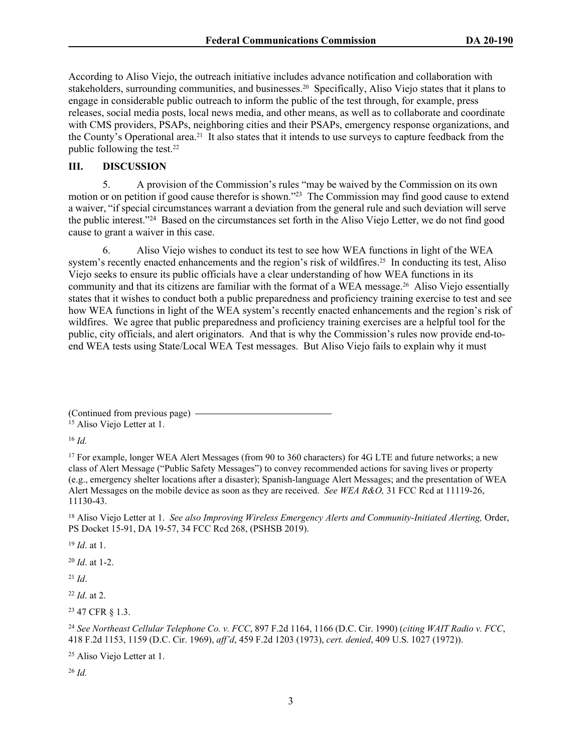According to Aliso Viejo, the outreach initiative includes advance notification and collaboration with stakeholders, surrounding communities, and businesses.20 Specifically, Aliso Viejo states that it plans to engage in considerable public outreach to inform the public of the test through, for example, press releases, social media posts, local news media, and other means, as well as to collaborate and coordinate with CMS providers, PSAPs, neighboring cities and their PSAPs, emergency response organizations, and the County's Operational area.21 It also states that it intends to use surveys to capture feedback from the public following the test.<sup>22</sup>

## **III. DISCUSSION**

5. A provision of the Commission's rules "may be waived by the Commission on its own motion or on petition if good cause therefor is shown."<sup>23</sup> The Commission may find good cause to extend a waiver, "if special circumstances warrant a deviation from the general rule and such deviation will serve the public interest."<sup>24</sup> Based on the circumstances set forth in the Aliso Viejo Letter, we do not find good cause to grant a waiver in this case.

6. Aliso Viejo wishes to conduct its test to see how WEA functions in light of the WEA system's recently enacted enhancements and the region's risk of wildfires.<sup>25</sup> In conducting its test, Aliso Viejo seeks to ensure its public officials have a clear understanding of how WEA functions in its community and that its citizens are familiar with the format of a WEA message.26 Aliso Viejo essentially states that it wishes to conduct both a public preparedness and proficiency training exercise to test and see how WEA functions in light of the WEA system's recently enacted enhancements and the region's risk of wildfires. We agree that public preparedness and proficiency training exercises are a helpful tool for the public, city officials, and alert originators. And that is why the Commission's rules now provide end-toend WEA tests using State/Local WEA Test messages. But Aliso Viejo fails to explain why it must

(Continued from previous page) <sup>15</sup> Aliso Viejo Letter at 1.

<sup>16</sup> *Id.* 

<sup>17</sup> For example, longer WEA Alert Messages (from 90 to 360 characters) for 4G LTE and future networks; a new class of Alert Message ("Public Safety Messages") to convey recommended actions for saving lives or property (e.g., emergency shelter locations after a disaster); Spanish-language Alert Messages; and the presentation of WEA Alert Messages on the mobile device as soon as they are received. *See WEA R&O,* 31 FCC Rcd at 11119-26, 11130-43.

<sup>18</sup> Aliso Viejo Letter at 1. *See also Improving Wireless Emergency Alerts and Community-Initiated Alerting*, Order, PS Docket 15-91, DA 19-57, 34 FCC Rcd 268, (PSHSB 2019).

<sup>19</sup> *Id*. at 1.

<sup>20</sup> *Id*. at 1-2.

<sup>21</sup> *Id*.

<sup>22</sup> *Id*. at 2.

<sup>23</sup> 47 CFR § 1.3.

<sup>24</sup> *See Northeast Cellular Telephone Co. v. FCC*, 897 F.2d 1164, 1166 (D.C. Cir. 1990) (*citing WAIT Radio v. FCC*, 418 F.2d 1153, 1159 (D.C. Cir. 1969), *aff'd*, 459 F.2d 1203 (1973), *cert. denied*, 409 U.S. 1027 (1972)).

<sup>25</sup> Aliso Viejo Letter at 1.

<sup>26</sup> *Id.*